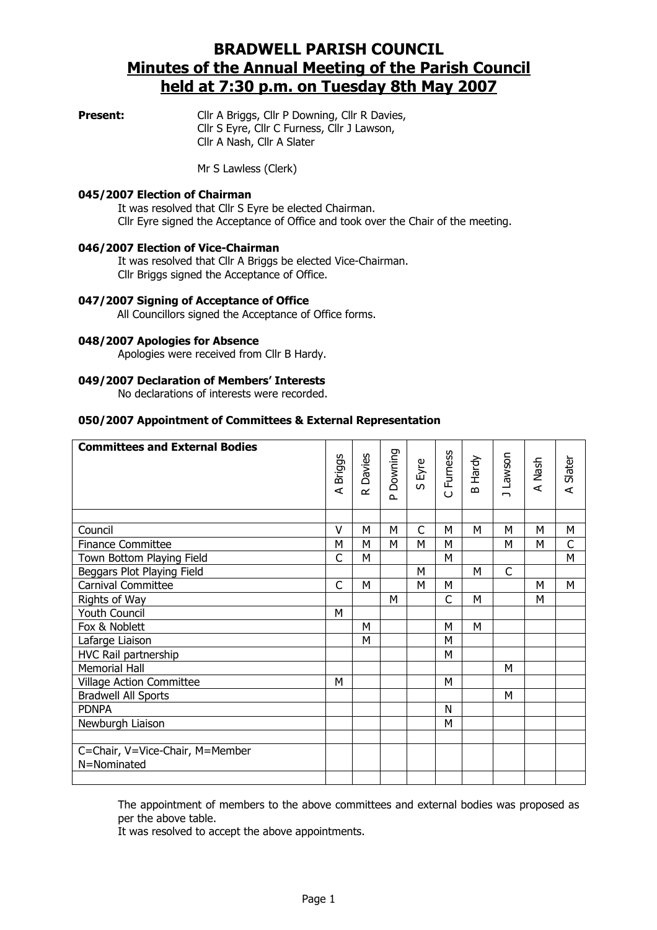# BRADWELL PARISH COUNCIL Minutes of the Annual Meeting of the Parish Council held at 7:30 p.m. on Tuesday 8th May 2007

**Present:** Cllr A Briggs, Cllr P Downing, Cllr R Davies, Cllr S Eyre, Cllr C Furness, Cllr J Lawson, Cllr A Nash, Cllr A Slater

Mr S Lawless (Clerk)

#### 045/2007 Election of Chairman

It was resolved that Cllr S Eyre be elected Chairman. Cllr Eyre signed the Acceptance of Office and took over the Chair of the meeting.

## 046/2007 Election of Vice-Chairman

 It was resolved that Cllr A Briggs be elected Vice-Chairman. Cllr Briggs signed the Acceptance of Office.

#### 047/2007 Signing of Acceptance of Office

All Councillors signed the Acceptance of Office forms.

#### 048/2007 Apologies for Absence

Apologies were received from Cllr B Hardy.

#### 049/2007 Declaration of Members' Interests

No declarations of interests were recorded.

### 050/2007 Appointment of Committees & External Representation

| <b>Committees and External Bodies</b> | <b>Briggs</b><br>$\prec$ | Davies<br>$\alpha$ | Downing<br>$\Delta$ | S Eyre | C Furness | Hardy<br>$\mathbf{a}$ | J Lawson | A Nash | A Slater |
|---------------------------------------|--------------------------|--------------------|---------------------|--------|-----------|-----------------------|----------|--------|----------|
|                                       | v                        | M                  | M                   | C      | M         | м                     | M        | М      | М        |
| Council                               |                          |                    |                     |        | M         |                       | M        |        | C        |
| <b>Finance Committee</b>              | M<br>C                   | M                  | M                   | М      | M         |                       |          | М      | M        |
| Town Bottom Playing Field             |                          | M                  |                     |        |           |                       |          |        |          |
| Beggars Plot Playing Field            |                          |                    |                     | M      |           | M                     | C        |        |          |
| <b>Carnival Committee</b>             | C                        | M                  |                     | M      | M         |                       |          | М      | M        |
| Rights of Way                         |                          |                    | M                   |        | C         | M                     |          | М      |          |
| <b>Youth Council</b>                  | M                        |                    |                     |        |           |                       |          |        |          |
| Fox & Noblett                         |                          | M                  |                     |        | M         | M                     |          |        |          |
| Lafarge Liaison                       |                          | M                  |                     |        | M         |                       |          |        |          |
| HVC Rail partnership                  |                          |                    |                     |        | M         |                       |          |        |          |
| <b>Memorial Hall</b>                  |                          |                    |                     |        |           |                       | М        |        |          |
| <b>Village Action Committee</b>       | м                        |                    |                     |        | M         |                       |          |        |          |
| <b>Bradwell All Sports</b>            |                          |                    |                     |        |           |                       | м        |        |          |
| <b>PDNPA</b>                          |                          |                    |                     |        | N         |                       |          |        |          |
| Newburgh Liaison                      |                          |                    |                     |        | M         |                       |          |        |          |
|                                       |                          |                    |                     |        |           |                       |          |        |          |
| C=Chair, V=Vice-Chair, M=Member       |                          |                    |                     |        |           |                       |          |        |          |
| N=Nominated                           |                          |                    |                     |        |           |                       |          |        |          |
|                                       |                          |                    |                     |        |           |                       |          |        |          |

The appointment of members to the above committees and external bodies was proposed as per the above table.

It was resolved to accept the above appointments.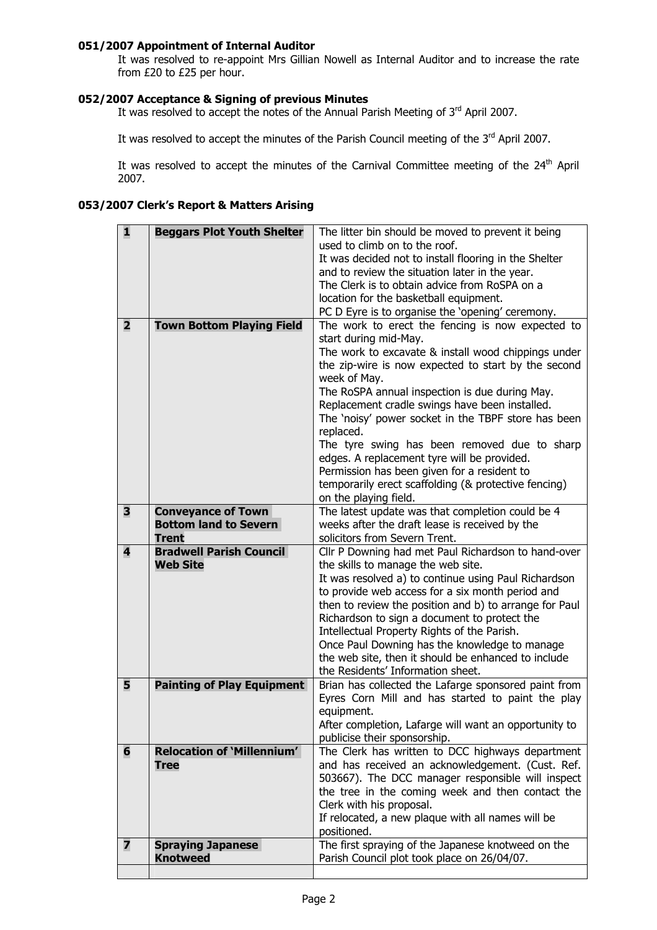## 051/2007 Appointment of Internal Auditor

It was resolved to re-appoint Mrs Gillian Nowell as Internal Auditor and to increase the rate from £20 to £25 per hour.

## 052/2007 Acceptance & Signing of previous Minutes

It was resolved to accept the notes of the Annual Parish Meeting of 3<sup>rd</sup> April 2007.

It was resolved to accept the minutes of the Parish Council meeting of the 3<sup>rd</sup> April 2007.

It was resolved to accept the minutes of the Carnival Committee meeting of the 24<sup>th</sup> April 2007.

# 053/2007 Clerk's Report & Matters Arising

| 1              | <b>Beggars Plot Youth Shelter</b> | The litter bin should be moved to prevent it being                               |
|----------------|-----------------------------------|----------------------------------------------------------------------------------|
|                |                                   | used to climb on to the roof.                                                    |
|                |                                   | It was decided not to install flooring in the Shelter                            |
|                |                                   | and to review the situation later in the year.                                   |
|                |                                   | The Clerk is to obtain advice from RoSPA on a                                    |
|                |                                   | location for the basketball equipment.                                           |
|                |                                   | PC D Eyre is to organise the 'opening' ceremony.                                 |
| $\overline{2}$ | <b>Town Bottom Playing Field</b>  | The work to erect the fencing is now expected to                                 |
|                |                                   | start during mid-May.                                                            |
|                |                                   | The work to excavate & install wood chippings under                              |
|                |                                   | the zip-wire is now expected to start by the second                              |
|                |                                   | week of May.                                                                     |
|                |                                   | The RoSPA annual inspection is due during May.                                   |
|                |                                   | Replacement cradle swings have been installed.                                   |
|                |                                   | The 'noisy' power socket in the TBPF store has been                              |
|                |                                   | replaced.                                                                        |
|                |                                   | The tyre swing has been removed due to sharp                                     |
|                |                                   | edges. A replacement tyre will be provided.                                      |
|                |                                   | Permission has been given for a resident to                                      |
|                |                                   | temporarily erect scaffolding (& protective fencing)                             |
|                |                                   | on the playing field.                                                            |
| 3              | <b>Conveyance of Town</b>         | The latest update was that completion could be 4                                 |
|                | <b>Bottom land to Severn</b>      | weeks after the draft lease is received by the                                   |
|                | <b>Trent</b>                      | solicitors from Severn Trent.                                                    |
| 4              | <b>Bradwell Parish Council</b>    | Cllr P Downing had met Paul Richardson to hand-over                              |
|                | <b>Web Site</b>                   | the skills to manage the web site.                                               |
|                |                                   | It was resolved a) to continue using Paul Richardson                             |
|                |                                   | to provide web access for a six month period and                                 |
|                |                                   | then to review the position and b) to arrange for Paul                           |
|                |                                   | Richardson to sign a document to protect the                                     |
|                |                                   | Intellectual Property Rights of the Parish.                                      |
|                |                                   | Once Paul Downing has the knowledge to manage                                    |
|                |                                   | the web site, then it should be enhanced to include                              |
|                |                                   | the Residents' Information sheet.                                                |
| 5              | <b>Painting of Play Equipment</b> | Brian has collected the Lafarge sponsored paint from                             |
|                |                                   | Eyres Corn Mill and has started to paint the play                                |
|                |                                   | equipment.                                                                       |
|                |                                   | After completion, Lafarge will want an opportunity to                            |
| 6              | <b>Relocation of 'Millennium'</b> | publicise their sponsorship.<br>The Clerk has written to DCC highways department |
|                | <b>Tree</b>                       | and has received an acknowledgement. (Cust. Ref.                                 |
|                |                                   | 503667). The DCC manager responsible will inspect                                |
|                |                                   | the tree in the coming week and then contact the                                 |
|                |                                   | Clerk with his proposal.                                                         |
|                |                                   | If relocated, a new plaque with all names will be                                |
|                |                                   | positioned.                                                                      |
| 7              | <b>Spraying Japanese</b>          | The first spraying of the Japanese knotweed on the                               |
|                | <b>Knotweed</b>                   | Parish Council plot took place on 26/04/07.                                      |
|                |                                   |                                                                                  |
|                |                                   |                                                                                  |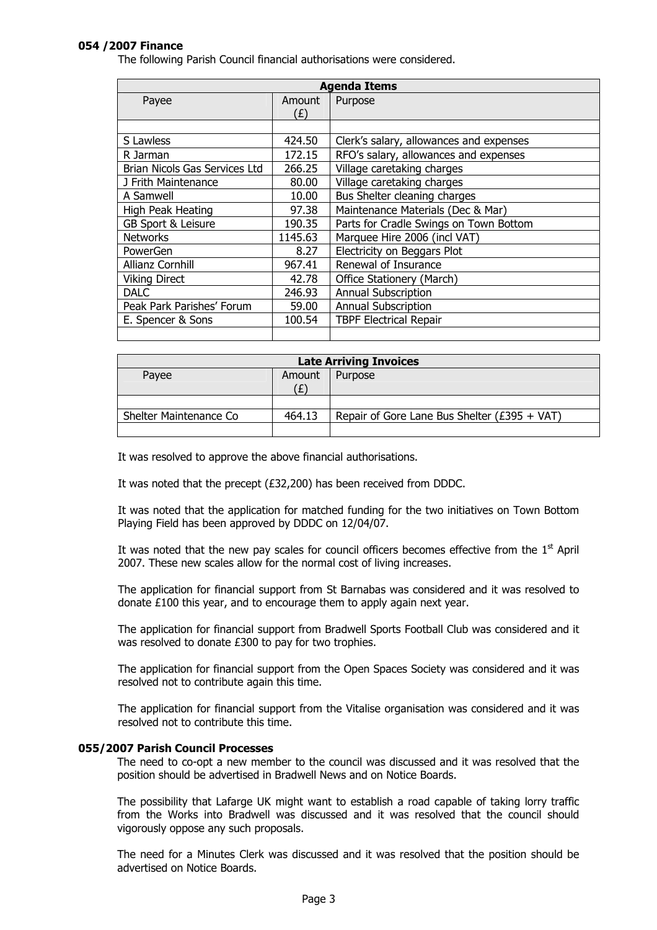## 054 /2007 Finance

The following Parish Council financial authorisations were considered.

| <b>Agenda Items</b>           |         |                                         |  |
|-------------------------------|---------|-----------------------------------------|--|
| Payee                         | Amount  | Purpose                                 |  |
|                               | (f)     |                                         |  |
|                               |         |                                         |  |
| S Lawless                     | 424.50  | Clerk's salary, allowances and expenses |  |
| R Jarman                      | 172.15  | RFO's salary, allowances and expenses   |  |
| Brian Nicols Gas Services Ltd | 266.25  | Village caretaking charges              |  |
| J Frith Maintenance           | 80.00   | Village caretaking charges              |  |
| A Samwell                     | 10.00   | Bus Shelter cleaning charges            |  |
| High Peak Heating             | 97.38   | Maintenance Materials (Dec & Mar)       |  |
| GB Sport & Leisure            | 190.35  | Parts for Cradle Swings on Town Bottom  |  |
| <b>Networks</b>               | 1145.63 | Marquee Hire 2006 (incl VAT)            |  |
| PowerGen                      | 8.27    | Electricity on Beggars Plot             |  |
| <b>Allianz Cornhill</b>       | 967.41  | Renewal of Insurance                    |  |
| <b>Viking Direct</b>          | 42.78   | Office Stationery (March)               |  |
| <b>DALC</b>                   | 246.93  | <b>Annual Subscription</b>              |  |
| Peak Park Parishes' Forum     | 59.00   | <b>Annual Subscription</b>              |  |
| E. Spencer & Sons             | 100.54  | <b>TBPF Electrical Repair</b>           |  |
|                               |         |                                         |  |

| <b>Late Arriving Invoices</b> |        |                                                  |  |
|-------------------------------|--------|--------------------------------------------------|--|
| Payee                         | Amount | Purpose                                          |  |
|                               |        |                                                  |  |
|                               |        |                                                  |  |
| Shelter Maintenance Co        | 464.13 | Repair of Gore Lane Bus Shelter ( $£395 + VAT$ ) |  |
|                               |        |                                                  |  |

It was resolved to approve the above financial authorisations.

It was noted that the precept (£32,200) has been received from DDDC.

It was noted that the application for matched funding for the two initiatives on Town Bottom Playing Field has been approved by DDDC on 12/04/07.

It was noted that the new pay scales for council officers becomes effective from the  $1<sup>st</sup>$  April 2007. These new scales allow for the normal cost of living increases.

The application for financial support from St Barnabas was considered and it was resolved to donate £100 this year, and to encourage them to apply again next year.

The application for financial support from Bradwell Sports Football Club was considered and it was resolved to donate £300 to pay for two trophies.

The application for financial support from the Open Spaces Society was considered and it was resolved not to contribute again this time.

The application for financial support from the Vitalise organisation was considered and it was resolved not to contribute this time.

## 055/2007 Parish Council Processes

The need to co-opt a new member to the council was discussed and it was resolved that the position should be advertised in Bradwell News and on Notice Boards.

The possibility that Lafarge UK might want to establish a road capable of taking lorry traffic from the Works into Bradwell was discussed and it was resolved that the council should vigorously oppose any such proposals.

The need for a Minutes Clerk was discussed and it was resolved that the position should be advertised on Notice Boards.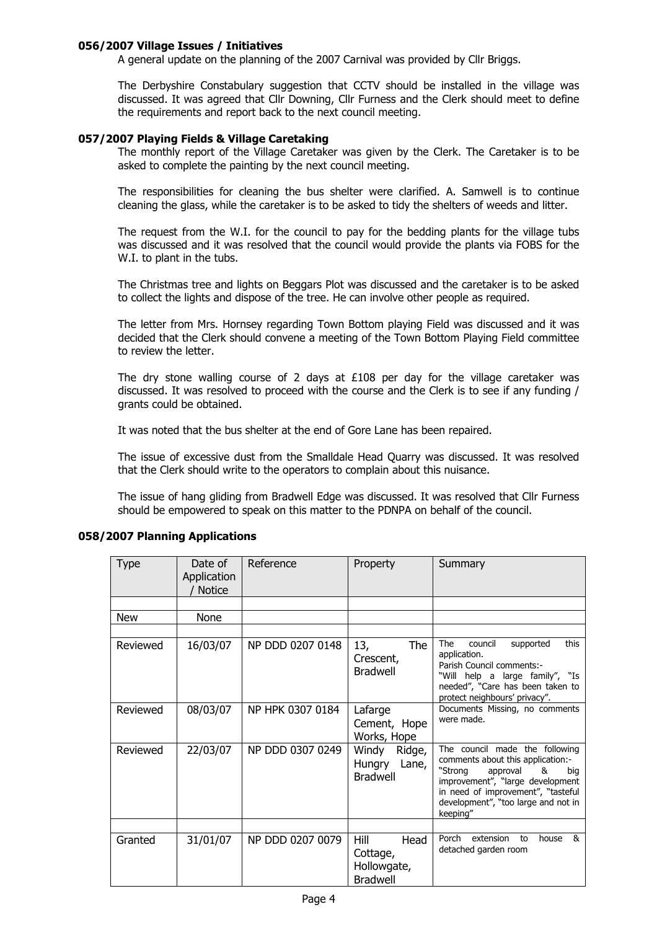## 056/2007 Village Issues / Initiatives

A general update on the planning of the 2007 Carnival was provided by Cllr Briggs.

The Derbyshire Constabulary suggestion that CCTV should be installed in the village was discussed. It was agreed that Cllr Downing, Cllr Furness and the Clerk should meet to define the requirements and report back to the next council meeting.

### 057/2007 Playing Fields & Village Caretaking

The monthly report of the Village Caretaker was given by the Clerk. The Caretaker is to be asked to complete the painting by the next council meeting.

The responsibilities for cleaning the bus shelter were clarified. A. Samwell is to continue cleaning the glass, while the caretaker is to be asked to tidy the shelters of weeds and litter.

The request from the W.I. for the council to pay for the bedding plants for the village tubs was discussed and it was resolved that the council would provide the plants via FOBS for the W.I. to plant in the tubs.

The Christmas tree and lights on Beggars Plot was discussed and the caretaker is to be asked to collect the lights and dispose of the tree. He can involve other people as required.

The letter from Mrs. Hornsey regarding Town Bottom playing Field was discussed and it was decided that the Clerk should convene a meeting of the Town Bottom Playing Field committee to review the letter.

The dry stone walling course of 2 days at  $£108$  per day for the village caretaker was discussed. It was resolved to proceed with the course and the Clerk is to see if any funding / grants could be obtained.

It was noted that the bus shelter at the end of Gore Lane has been repaired.

The issue of excessive dust from the Smalldale Head Quarry was discussed. It was resolved that the Clerk should write to the operators to complain about this nuisance.

The issue of hang gliding from Bradwell Edge was discussed. It was resolved that Cllr Furness should be empowered to speak on this matter to the PDNPA on behalf of the council.

### 058/2007 Planning Applications

| <b>Type</b> | Date of<br>Application<br><b>Notice</b> | Reference        | Property                                                   | Summary                                                                                                                                                                                                                             |
|-------------|-----------------------------------------|------------------|------------------------------------------------------------|-------------------------------------------------------------------------------------------------------------------------------------------------------------------------------------------------------------------------------------|
|             |                                         |                  |                                                            |                                                                                                                                                                                                                                     |
| New         | None                                    |                  |                                                            |                                                                                                                                                                                                                                     |
|             |                                         |                  |                                                            |                                                                                                                                                                                                                                     |
| Reviewed    | 16/03/07                                | NP DDD 0207 0148 | 13,<br>The<br>Crescent,<br><b>Bradwell</b>                 | The<br>this<br>council<br>supported<br>application.<br>Parish Council comments:-<br>"Will help a large family", "Is<br>needed", "Care has been taken to<br>protect neighbours' privacy".                                            |
| Reviewed    | 08/03/07                                | NP HPK 0307 0184 | Lafarge<br>Cement, Hope<br>Works, Hope                     | Documents Missing, no comments<br>were made.                                                                                                                                                                                        |
| Reviewed    | 22/03/07                                | NP DDD 0307 0249 | Windy<br>Ridge,<br>Lane,<br>Hungry<br><b>Bradwell</b>      | The council made the following<br>comments about this application:-<br>"Strong<br>approval<br>&<br>big<br>improvement", "large development<br>in need of improvement", "tasteful<br>development", "too large and not in<br>keeping" |
| Granted     | 31/01/07                                | NP DDD 0207 0079 | Hill<br>Head<br>Cottage,<br>Hollowgate,<br><b>Bradwell</b> | extension<br>Porch<br>house<br>୍ୟ<br>to<br>detached garden room                                                                                                                                                                     |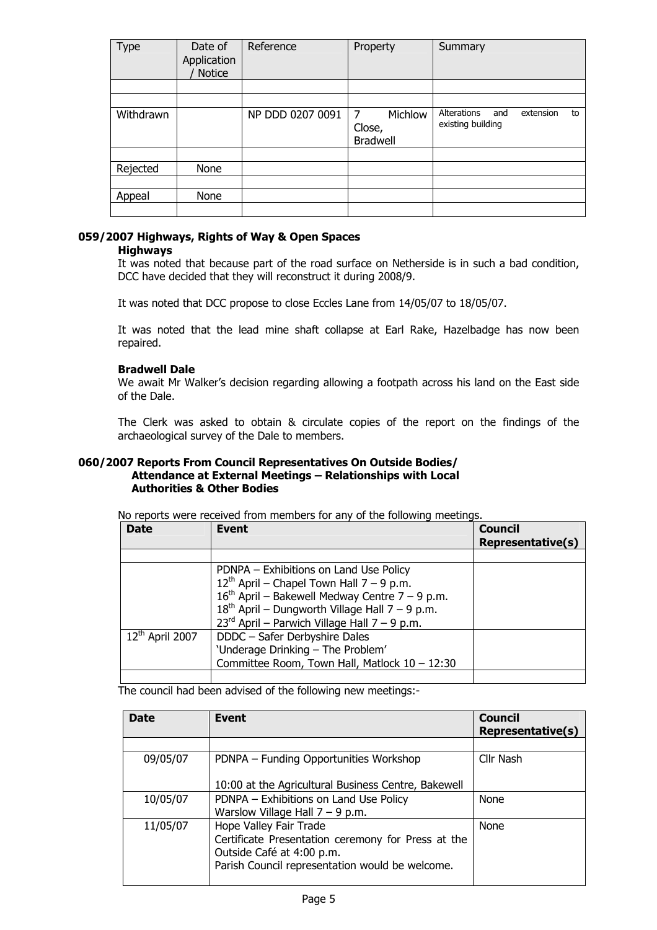| Type      | Date of<br>Application<br>Notice | Reference        | Property                                  | Summary                                                    |
|-----------|----------------------------------|------------------|-------------------------------------------|------------------------------------------------------------|
|           |                                  |                  |                                           |                                                            |
|           |                                  |                  |                                           |                                                            |
| Withdrawn |                                  | NP DDD 0207 0091 | Michlow<br>7<br>Close,<br><b>Bradwell</b> | Alterations<br>and<br>extension<br>to<br>existing building |
|           |                                  |                  |                                           |                                                            |
| Rejected  | None                             |                  |                                           |                                                            |
|           |                                  |                  |                                           |                                                            |
| Appeal    | None                             |                  |                                           |                                                            |
|           |                                  |                  |                                           |                                                            |

## 059/2007 Highways, Rights of Way & Open Spaces

#### **Highways**

It was noted that because part of the road surface on Netherside is in such a bad condition, DCC have decided that they will reconstruct it during 2008/9.

It was noted that DCC propose to close Eccles Lane from 14/05/07 to 18/05/07.

It was noted that the lead mine shaft collapse at Earl Rake, Hazelbadge has now been repaired.

#### Bradwell Dale

We await Mr Walker's decision regarding allowing a footpath across his land on the East side of the Dale.

The Clerk was asked to obtain & circulate copies of the report on the findings of the archaeological survey of the Dale to members.

#### 060/2007 Reports From Council Representatives On Outside Bodies/ Attendance at External Meetings – Relationships with Local Authorities & Other Bodies

No reports were received from members for any of the following meetings.

| <b>Date</b>                 | <b>Event</b>                                                                                                                                | <b>Council</b><br><b>Representative(s)</b> |
|-----------------------------|---------------------------------------------------------------------------------------------------------------------------------------------|--------------------------------------------|
|                             |                                                                                                                                             |                                            |
|                             | PDNPA - Exhibitions on Land Use Policy<br>$12^{th}$ April – Chapel Town Hall 7 – 9 p.m.<br>$16th$ April – Bakewell Medway Centre 7 – 9 p.m. |                                            |
|                             | $18^{th}$ April – Dungworth Village Hall 7 – 9 p.m.<br>$23^{\text{rd}}$ April – Parwich Village Hall 7 – 9 p.m.                             |                                            |
| 12 <sup>th</sup> April 2007 | DDDC - Safer Derbyshire Dales<br>'Underage Drinking - The Problem'<br>Committee Room, Town Hall, Matlock 10 - 12:30                         |                                            |
|                             |                                                                                                                                             |                                            |

The council had been advised of the following new meetings:-

| <b>Date</b> | Event                                                                                                                                                        | <b>Council</b><br><b>Representative(s)</b> |
|-------------|--------------------------------------------------------------------------------------------------------------------------------------------------------------|--------------------------------------------|
|             |                                                                                                                                                              |                                            |
| 09/05/07    | PDNPA - Funding Opportunities Workshop                                                                                                                       | Cllr Nash                                  |
|             | 10:00 at the Agricultural Business Centre, Bakewell                                                                                                          |                                            |
| 10/05/07    | PDNPA - Exhibitions on Land Use Policy                                                                                                                       | None                                       |
|             | Warslow Village Hall $7 - 9$ p.m.                                                                                                                            |                                            |
| 11/05/07    | Hope Valley Fair Trade<br>Certificate Presentation ceremony for Press at the<br>Outside Café at 4:00 p.m.<br>Parish Council representation would be welcome. | None                                       |